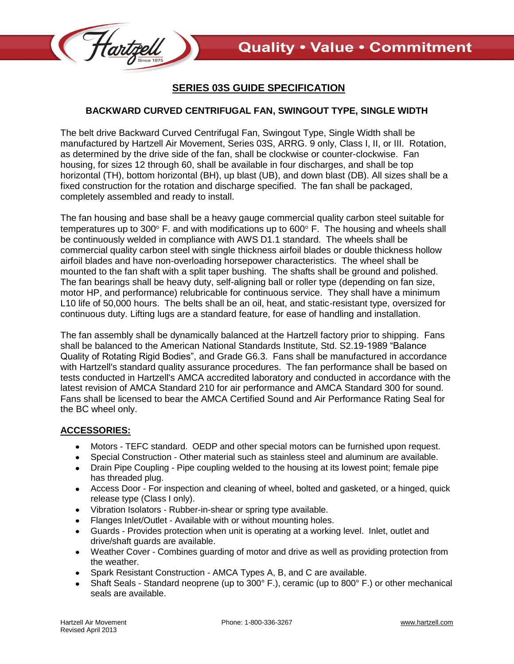

## **SERIES 03S GUIDE SPECIFICATION**

## **BACKWARD CURVED CENTRIFUGAL FAN, SWINGOUT TYPE, SINGLE WIDTH**

The belt drive Backward Curved Centrifugal Fan, Swingout Type, Single Width shall be manufactured by Hartzell Air Movement, Series 03S, ARRG. 9 only, Class I, II, or III. Rotation, as determined by the drive side of the fan, shall be clockwise or counter-clockwise. Fan housing, for sizes 12 through 60, shall be available in four discharges, and shall be top horizontal (TH), bottom horizontal (BH), up blast (UB), and down blast (DB). All sizes shall be a fixed construction for the rotation and discharge specified. The fan shall be packaged, completely assembled and ready to install.

The fan housing and base shall be a heavy gauge commercial quality carbon steel suitable for temperatures up to 300 $^{\circ}$  F. and with modifications up to 600 $^{\circ}$  F. The housing and wheels shall be continuously welded in compliance with AWS D1.1 standard. The wheels shall be commercial quality carbon steel with single thickness airfoil blades or double thickness hollow airfoil blades and have non-overloading horsepower characteristics. The wheel shall be mounted to the fan shaft with a split taper bushing. The shafts shall be ground and polished. The fan bearings shall be heavy duty, self-aligning ball or roller type (depending on fan size, motor HP, and performance) relubricable for continuous service. They shall have a minimum L10 life of 50,000 hours. The belts shall be an oil, heat, and static-resistant type, oversized for continuous duty. Lifting lugs are a standard feature, for ease of handling and installation.

The fan assembly shall be dynamically balanced at the Hartzell factory prior to shipping. Fans shall be balanced to the American National Standards Institute, Std. S2.19-1989 "Balance Quality of Rotating Rigid Bodies", and Grade G6.3. Fans shall be manufactured in accordance with Hartzell's standard quality assurance procedures. The fan performance shall be based on tests conducted in Hartzell's AMCA accredited laboratory and conducted in accordance with the latest revision of AMCA Standard 210 for air performance and AMCA Standard 300 for sound. Fans shall be licensed to bear the AMCA Certified Sound and Air Performance Rating Seal for the BC wheel only.

## **ACCESSORIES:**

- $\bullet$ Motors - TEFC standard. OEDP and other special motors can be furnished upon request.
- Special Construction Other material such as stainless steel and aluminum are available.
- Drain Pipe Coupling Pipe coupling welded to the housing at its lowest point; female pipe has threaded plug.
- Access Door For inspection and cleaning of wheel, bolted and gasketed, or a hinged, quick release type (Class I only).
- Vibration Isolators Rubber-in-shear or spring type available.
- Flanges Inlet/Outlet Available with or without mounting holes.  $\bullet$
- Guards Provides protection when unit is operating at a working level. Inlet, outlet and drive/shaft guards are available.
- Weather Cover Combines guarding of motor and drive as well as providing protection from the weather.
- Spark Resistant Construction AMCA Types A, B, and C are available.
- Shaft Seals Standard neoprene (up to 300° F.), ceramic (up to 800° F.) or other mechanical seals are available.